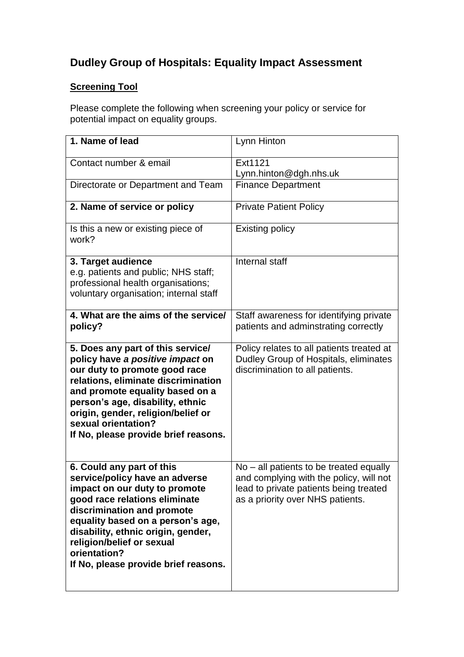## **Dudley Group of Hospitals: Equality Impact Assessment**

## **Screening Tool**

Please complete the following when screening your policy or service for potential impact on equality groups.

| 1. Name of lead                                                                                                                                                                                                                                                                                                             | Lynn Hinton                                                                                                                                                      |
|-----------------------------------------------------------------------------------------------------------------------------------------------------------------------------------------------------------------------------------------------------------------------------------------------------------------------------|------------------------------------------------------------------------------------------------------------------------------------------------------------------|
| Contact number & email                                                                                                                                                                                                                                                                                                      | Ext1121<br>Lynn.hinton@dgh.nhs.uk                                                                                                                                |
| Directorate or Department and Team                                                                                                                                                                                                                                                                                          | <b>Finance Department</b>                                                                                                                                        |
| 2. Name of service or policy                                                                                                                                                                                                                                                                                                | <b>Private Patient Policy</b>                                                                                                                                    |
| Is this a new or existing piece of<br>work?                                                                                                                                                                                                                                                                                 | <b>Existing policy</b>                                                                                                                                           |
| 3. Target audience<br>e.g. patients and public; NHS staff;<br>professional health organisations;<br>voluntary organisation; internal staff                                                                                                                                                                                  | Internal staff                                                                                                                                                   |
| 4. What are the aims of the service/<br>policy?                                                                                                                                                                                                                                                                             | Staff awareness for identifying private<br>patients and adminstrating correctly                                                                                  |
| 5. Does any part of this service/<br>policy have a positive impact on<br>our duty to promote good race<br>relations, eliminate discrimination<br>and promote equality based on a<br>person's age, disability, ethnic<br>origin, gender, religion/belief or<br>sexual orientation?<br>If No, please provide brief reasons.   | Policy relates to all patients treated at<br>Dudley Group of Hospitals, eliminates<br>discrimination to all patients.                                            |
| 6. Could any part of this<br>service/policy have an adverse<br>impact on our duty to promote<br>good race relations eliminate<br>discrimination and promote<br>equality based on a person's age,<br>disability, ethnic origin, gender,<br>religion/belief or sexual<br>orientation?<br>If No, please provide brief reasons. | No – all patients to be treated equally<br>and complying with the policy, will not<br>lead to private patients being treated<br>as a priority over NHS patients. |